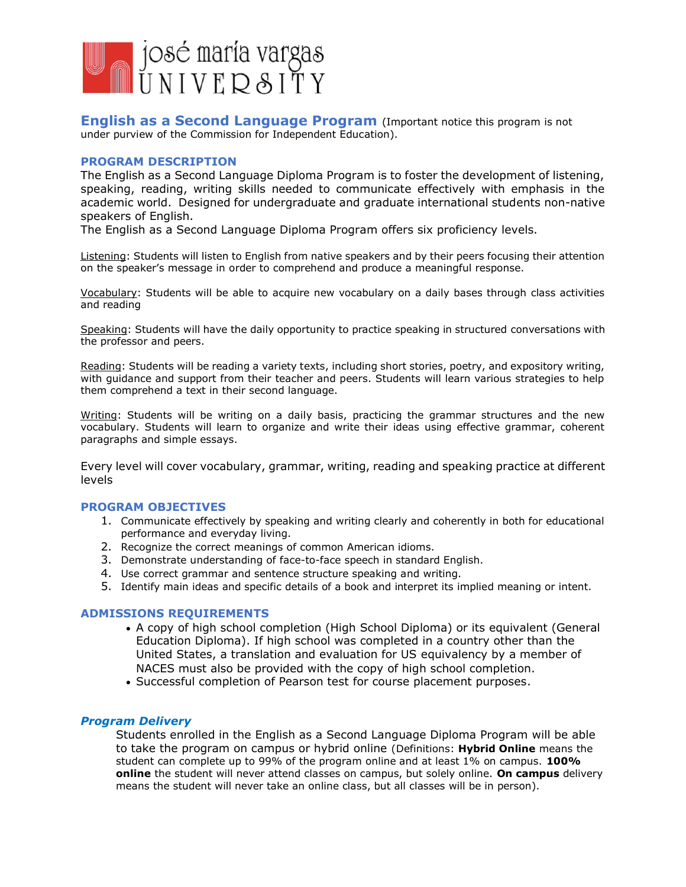

**English as a Second Language Program** (Important notice this program is not under purview of the Commission for Independent Education).

### **PROGRAM DESCRIPTION**

The English as a Second Language Diploma Program is to foster the development of listening, speaking, reading, writing skills needed to communicate effectively with emphasis in the academic world. Designed for undergraduate and graduate international students non-native speakers of English.

The English as a Second Language Diploma Program offers six proficiency levels.

Listening: Students will listen to English from native speakers and by their peers focusing their attention on the speaker's message in order to comprehend and produce a meaningful response.

Vocabulary: Students will be able to acquire new vocabulary on a daily bases through class activities and reading

Speaking: Students will have the daily opportunity to practice speaking in structured conversations with the professor and peers.

Reading: Students will be reading a variety texts, including short stories, poetry, and expository writing, with guidance and support from their teacher and peers. Students will learn various strategies to help them comprehend a text in their second language.

Writing: Students will be writing on a daily basis, practicing the grammar structures and the new vocabulary. Students will learn to organize and write their ideas using effective grammar, coherent paragraphs and simple essays.

Every level will cover vocabulary, grammar, writing, reading and speaking practice at different levels

## **PROGRAM OBJECTIVES**

- 1. Communicate effectively by speaking and writing clearly and coherently in both for educational performance and everyday living.
- 2. Recognize the correct meanings of common American idioms.
- 3. Demonstrate understanding of face-to-face speech in standard English.
- 4. Use correct grammar and sentence structure speaking and writing.
- 5. Identify main ideas and specific details of a book and interpret its implied meaning or intent.

## **ADMISSIONS REQUIREMENTS**

- A copy of high school completion (High School Diploma) or its equivalent (General Education Diploma). If high school was completed in a country other than the United States, a translation and evaluation for US equivalency by a member of NACES must also be provided with the copy of high school completion.
- Successful completion of Pearson test for course placement purposes.

## *Program Delivery*

Students enrolled in the English as a Second Language Diploma Program will be able to take the program on campus or hybrid online (Definitions: **Hybrid Online** means the student can complete up to 99% of the program online and at least 1% on campus. **100% online** the student will never attend classes on campus, but solely online. **On campus** delivery means the student will never take an online class, but all classes will be in person).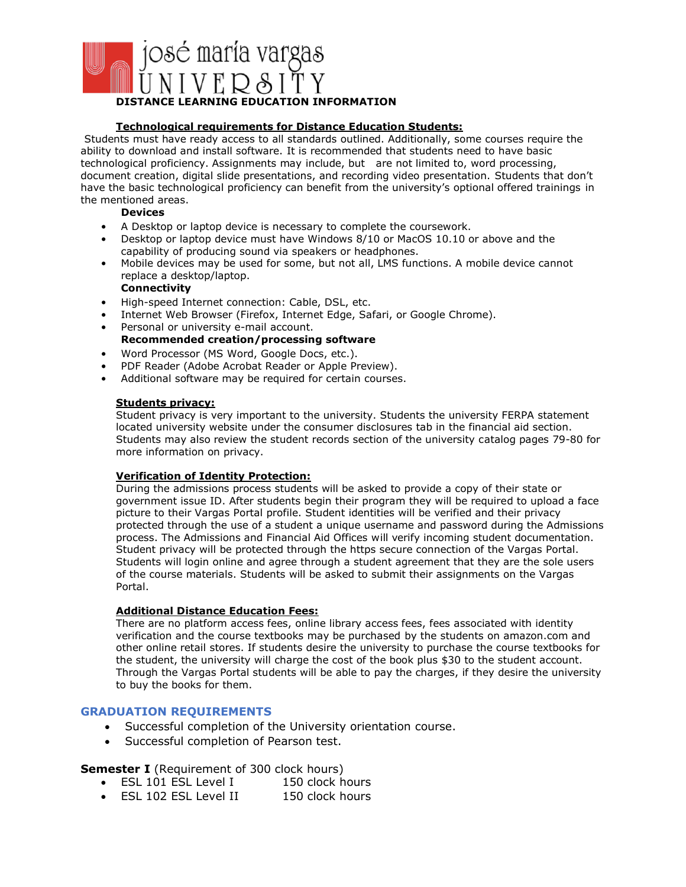

## **Technological requirements for Distance Education Students:**

Students must have ready access to all standards outlined. Additionally, some courses require the ability to download and install software. It is recommended that students need to have basic technological proficiency. Assignments may include, but are not limited to, word processing, document creation, digital slide presentations, and recording video presentation. Students that don't have the basic technological proficiency can benefit from the university's optional offered trainings in the mentioned areas.

**Devices**

- A Desktop or laptop device is necessary to complete the coursework.
- Desktop or laptop device must have Windows 8/10 or MacOS 10.10 or above and the capability of producing sound via speakers or headphones.
- Mobile devices may be used for some, but not all, LMS functions. A mobile device cannot replace a desktop/laptop.

### **Connectivity**

- High-speed Internet connection: Cable, DSL, etc.
- Internet Web Browser (Firefox, Internet Edge, Safari, or Google Chrome).
- Personal or university e-mail account. **Recommended creation/processing software**
- Word Processor (MS Word, Google Docs, etc.).
- PDF Reader (Adobe Acrobat Reader or Apple Preview).
- Additional software may be required for certain courses.

#### **Students privacy:**

Student privacy is very important to the university. Students the university FERPA statement located university website under the consumer disclosures tab in the financial aid section. Students may also review the student records section of the university catalog pages 79-80 for more information on privacy.

### **Verification of Identity Protection:**

During the admissions process students will be asked to provide a copy of their state or government issue ID. After students begin their program they will be required to upload a face picture to their Vargas Portal profile. Student identities will be verified and their privacy protected through the use of a student a unique username and password during the Admissions process. The Admissions and Financial Aid Offices will verify incoming student documentation. Student privacy will be protected through the https secure connection of the Vargas Portal. Students will login online and agree through a student agreement that they are the sole users of the course materials. Students will be asked to submit their assignments on the Vargas Portal.

#### **Additional Distance Education Fees:**

There are no platform access fees, online library access fees, fees associated with identity verification and the course textbooks may be purchased by the students on amazon.com and other online retail stores. If students desire the university to purchase the course textbooks for the student, the university will charge the cost of the book plus \$30 to the student account. Through the Vargas Portal students will be able to pay the charges, if they desire the university to buy the books for them.

# **GRADUATION REQUIREMENTS**

- Successful completion of the University orientation course.
- Successful completion of Pearson test.

## **Semester I** (Requirement of 300 clock hours)

- ESL 101 ESL Level I 150 clock hours
- ESL 102 ESL Level II 150 clock hours